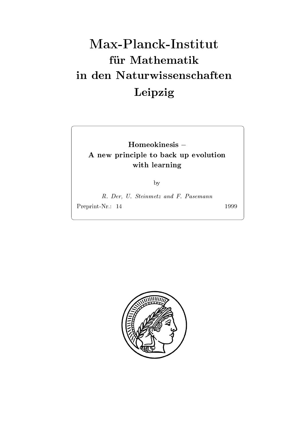# Max-Planck-Institut für Mathematik Leipzig

Homeokinesis A new principle to back up evolution with learning

by

R. Der, U. Steinmetz and F. Pasemann Preprint-Nr.: 14

1999

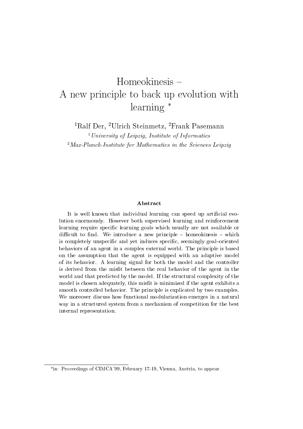## Homeokinesis A new principle to back up evolution with learning \*

<sup>1</sup>Ralf Der, <sup>2</sup>Ulrich Steinmetz, <sup>2</sup>Frank Pasemann

 $^{1}$ University of Leipzig. Institute of Informatics  $^{2}$ Max-Planck-Institute for Mathematics in the Sciences Leipzig

#### Abstract

It is well known that individual learning can speed up artificial evolution enormously- However both supervised learning and reinforcement learning require specific learning goals which usually are not available or dicult to nd-we introduce a new principle and we introduce a new principle and which is a new principle of the is completely unspecific and yet induces specific, seemingly goal-oriented behaviors of an agent in a complex external world- The principle is based on the assumption that the agent is equipped with an adaptive model of its behavior-definition-definition-definition-definition-definition-definition-definition-definition-definition-definition-definition-definition-definition-definition-definition-definition-definition-definition-definit is derived from the misfit between the real behavior of the agent in the world and that predicted by the model-that predicted by the model-the model-the structural complexity of the structural complexity of the structural complexity of the structural complexity of the structural complexity of t model is chosen adequately, this misfit is minimized if the agent exhibits a smooth controlled by the principle is exampled by the principle is  $\mu$  , the controlled by two examples of We moreover discuss how functional modularization emerges in a natural way in a structured system from a mechanism of competition for the best internal representation.

in- Proceedings of CIMCA February Vienna Austria to appear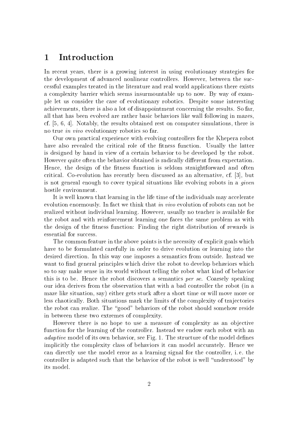### Introduction

In recent years, there is a growing interest in using evolutionary strategies for the development of advanced nonlinear controllers. However, between the successful examples treated in the literature and real world applications there exists a complexity barrier which seems insurmountable up to now. By way of example let us consider the case of evolutionary robotics Despite some interesting achievements, there is also a lot of disappointment concerning the results. So far, all that has been evolved are rather basic behaviors like wall following in mazes cf.  $[5, 6, 4]$ . Notably, the results obtained rest on computer simulations, there is no true in vivo evolutionary robotics so far

Our own practical experience with evolving controllers for the Khepera robot have also revealed the critical role of the fitness function. Usually the latter is designed by hand in view of a certain behavior to be developed by the robot However quite often the behavior obtained is radically different from expectation. Hence, the design of the fitness function is seldom straightforward and often critical Co-evolution has recently been discussed as an alternative cf but is not general enough to cover typical situations like evolving robots in a *given* hostile environment.

It is well known that learning in the life time of the individuals may accelerate evolution enormously. In fact we think that in vivo evolution of robots can not be realized without individual learning. However, usually no teacher is available for the robot and with reinforcement learning one faces the same problem as with the design of the fitness function: Finding the right distribution of rewards is essential for success

The common feature in the above points is the necessity of explicit goals which have to be formulated carefully in order to drive evolution or learning into the desired direction. In this way one imposes a semantics from outside. Instead we want to find general principles which drive the robot to develop behaviors which so to say make sense in its world without telling the robot what kind of behavior this is to be. Hence the robot discovers a semantics per se. Coarsely speaking our idea derives from the observation that with a bad controller the robot (in a maze like situation, say) either gets stuck after a short time or will move more or less chaotically. Both situations mark the limits of the complexity of trajectories the robot can realize. The "good" behaviors of the robot should somehow reside in between these two extremes of complexity

However there is no hope to use a measure of complexity as an objective function for the learning of the controller. Instead we endow each robot with an adaptive model of its own behavior, see Fig. 1. The structure of the model defines implicitly the complexity class of behaviors it can model accurately Hence we can directly use the model error as a learning signal for the controller, i.e. the controller is adapted such that the behavior of the robot is well "understood" by its model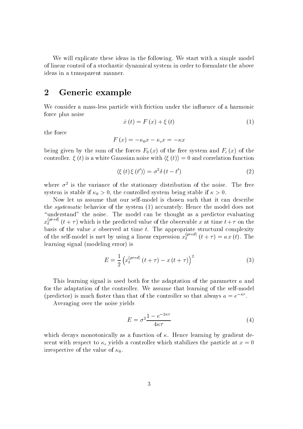We will explicate these ideas in the following. We start with a simple model of linear control of a stochastic dynamical system in order to formulate the above ideas in a transparent manner

#### $\overline{2}$ Generic example

We consider a mass-less particle with friction under the inuence of a harmonic force plus noise

$$
\dot{x}(t) = F(x) + \xi(t) \tag{1}
$$

the force

$$
F(x) = -\kappa_0 x - \kappa_c x = -\kappa x
$$

 $\mathbf{0}$  by the sum of the forces  $\mathbf{0}$  and  $\mathbf{0}$  of the forces  $\mathbf{0}$  and  $\mathbf{0}$  and  $\mathbf{0}$  and  $\mathbf{0}$  and  $\mathbf{0}$  and  $\mathbf{0}$  and  $\mathbf{0}$  and  $\mathbf{0}$  and  $\mathbf{0}$  and  $\mathbf{0}$  and  $\mathbf{0}$  and  $\mathbf{0}$ controller.  $\xi(t)$  is a white Gaussian noise with  $\langle \xi(t) \rangle = 0$  and correlation function

$$
\langle \xi(t)\xi(t')\rangle = \sigma^2 \delta(t-t')\tag{2}
$$

where  $\sigma^-$  is the variance of the stationary distribution of the noise. The free system is stable if - the controlled system being stable if

the *systematic* behavior of the system  $(1)$  accurately. Hence the model does not "understand" the noise. The model can be thought as a predictor evaluating  $x_t^*$   $\rightarrow$  (t +  $\tau$ ) which is the predicted value of the observable x at time  $t+\tau$  on the basis of the value  $x$  observed at time  $t$ . The appropriate structural complexity of the self-model is met by using a linear expression  $x_t^*$   $(t + \tau) = a x(t)$ . The learning signal (modeling error) is

$$
E = \frac{1}{2} \left( x_t^{(pred)} \left( t + \tau \right) - x \left( t + \tau \right) \right)^2 \tag{3}
$$

This learning signal is used both for the adaptation of the parameter a and for the adaptation of the controller We assume that learning of the self-model (predictor) is much faster than that of the controller so that always  $a = e$ 

Averaging over the noise yields

$$
E = \sigma^2 \frac{1 - e^{-2\kappa\tau}}{4\kappa\tau} \tag{4}
$$

which decays monotonically as a function of  $\kappa$ . Hence learning by gradient descent with respect to  $\kappa_c$  yields a controller which stabilizes the particle at  $x=0$ irrespective of the value of the value of  $\mu$  .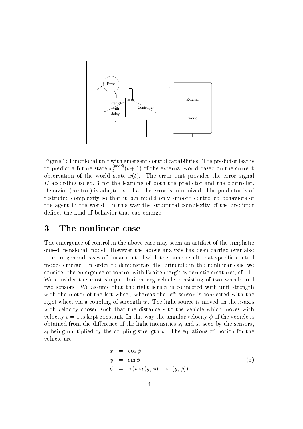

Figure 1: Functional unit with emergent control capabilities. The predictor learns to predict a future state  $x_t^{(t+1)}$  ( $t+1$ ) of the external world based on the current observation of the world state  $x(t)$ . The error unit provides the error signal <sup>E</sup> according to eq for the learning of both the predictor and the controller Behavior (control) is adapted so that the error is minimized. The predictor is of restricted complexity so that it can model only smooth controlled behaviors of the agent in the world. In this way the structural complexity of the predictor defines the kind of behavior that can emerge.

#### $\bf{3}$ The nonlinear case

The emergence of control in the above case may seem an artifact of the simplistic one-dimensional model. However the above analysis has been carried over also to more general cases of linear control with the same result that specific control modes emerge. In order to demonstrate the principle in the nonlinear case we consider the emergence of control with Braitenberg's cybernetic creatures, cf.  $[1]$ . We consider the most simple Braitenberg vehicle consisting of two wheels and two sensors We assume that the right sensor is connected with unit strength with the motor of the left wheel, whereas the left sensor is connected with the right where you are a coupling to strength w The Light source is moved on the x-coupling on the x-coupling on the x-coupling of the x-coupling of the x-coupling of the x-coupling of the x-coupling of the x-coupling of the with velocity chosen such that the distance s to the vehicle which moves with velocity  $c = 1$  is kept constant. In this way the angular velocity  $\phi$  of the vehicle is obtained from the difference of the light intensities  $s_l$  and  $s_r$  seen by the sensors  $s_l$  being multiplied by the coupling strength w. The equations of motion for the vehicle are

$$
\dot{x} = \cos \phi \n\dot{y} = \sin \phi \n\dot{\phi} = s (ws_l (y, \phi) - s_r (y, \phi))
$$
\n(5)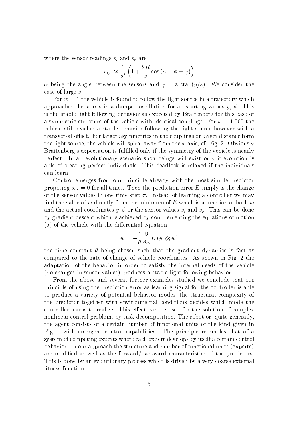where the sensor readings  $s_l$  and  $s_r$  are

$$
s_{l,r} \approx \frac{1}{s^2} \left( 1 + \frac{2R}{s} \cos \left( \alpha + \phi \pm \gamma \right) \right)
$$

 being the angle between the sensors and arctan<sup>y</sup>s We consider the case of large s

For  $w = 1$  the vehicle is found to follow the light source in a trajectory which approaches the x-chemic in a damped on all starting values  $\mathcal{A}$  , which is  $\mathcal{A}$  and  $\mathcal{A}$  are  $\mathcal{A}$ is the stable light following behavior as expected by Braitenberg for this case of a symmetric structure of the vehicle with identical couplings. For  $w = 1.005$  the vehicle still reaches a stable behavior following the light source however with a transversal offset. For larger asymmetries in the couplings or larger distance form the light source the vehicle will spiral away from the spiral and the spiral and  $\alpha$  obviously and  $\alpha$ Braitenberg's expectation is fulfilled only if the symmetry of the vehicle is nearly perfect In an evolutionary scenario such beings will exist only if evolution is able of creating perfect individuals. This deadlock is relaxed if the individuals can learn

Control emerges from our principle already with the most simple predictor r for all times Then the prediction errors the prediction error  $\equiv$  then  $\gamma$  is the change  $\cap$  $-1$ of the sensor values in one time step  $\tau$ . Instead of learning a controller we may find the value of w directly from the minimum of E which is a function of both  $w$ and the actual coordinates  $y, \phi$  or the sensor values  $s_l$  and  $s_r$ . This can be done by gradient descent which is achieved by complementing the equations of motion  $(5)$  of the vehicle with the differential equation

$$
\dot{w} = -\frac{1}{\theta} \frac{\partial}{\partial w} E(y, \phi; w)
$$

the time constant  $\theta$  being chosen such that the gradient dynamics is fast as compared to the rate of change of vehicle coordinates. As shown in Fig. 2 the adaptation of the behavior in order to satisfy the internal needs of the vehicle (no changes in sensor values) produces a stable light following behavior.

From the above and several further examples studied we conclude that our principle of using the prediction error as learning signal for the controller is able to produce a variety of potential behavior modes; the structural complexity of the predictor together with environmental conditions decides which mode the controller learns to realize. This effect can be used for the solution of complex nonlinear control problems by task decomposition. The robot or, quite generally, the agent consists of a certain number of functional units of the kind given in Fig. 1 with emergent control capabilities. The principle resembles that of a system of competing experts where each expert develops by itself a certain control behavior. In our approach the structure and number of functional units (experts) are modified as well as the forward/backward characteristics of the predictors. This is done by an evolutionary process which is driven by a very coarse external fitness function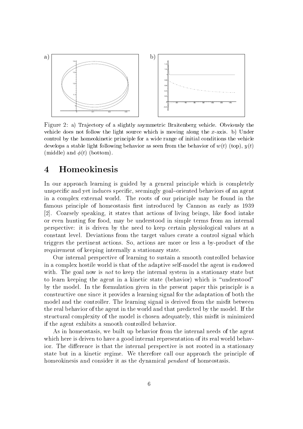

Figure a Tra jectory of a slightly asymmetric Braitenberg vehicle- Obviously the vehicle does not follow the light source which is moving along the xaxis- b Under control by the homeokinetic principle for a wide range of initial conditions the vehicle develops a stable light following behavior as seen from the behavior of  $w(t)$  (top),  $y(t)$ (middle) and  $\phi(t)$  (bottom).

#### $\boldsymbol{4}$ Homeokinesis

In our approach learning is guided by a general principle which is completely unspecific and yet induces specific, seemingly goal-oriented behaviors of an agent in a complex external world. The roots of our principle may be found in the famous principle of homeostasis rst introduced by Cannon as early as [2]. Coarsely speaking, it states that actions of living beings, like food intake or even hunting for food, may be understood in simple terms from an internal perspective it is driven by the need to keep certain physiological values at a constant level. Deviations from the target values create a control signal which triggers the pertinent actions So actions are more or less a by-product of the requirement of keeping internally a stationary state

Our internal perspective of learning to sustain a smooth controlled behavior in a complex hostile world is that of the adaptive self-model the agent is endowed with. The goal now is *not* to keep the internal system in a stationary state but to learn keeping the agent in a kinetic state (behavior) which is "understood" by the model In the formulation given in the present paper this principle is a constructive one since it provides a learning signal for the adaptation of both the model and the controller. The learning signal is derived from the misfit between the real behavior of the agent in the world and that predicted by the model If the structural complexity of the model is chosen adequately, this misfit is minimized if the agent exhibits a smooth controlled behavior

As in homeostasis we built up behavior from the internal needs of the agent which here is driven to have a good internal representation of its real world behavior. The difference is that the internal perspective is not rooted in a stationary state but in a kinetic regime We therefore call our approach the principle of homeokinesis and consider it as the dynamical *pendant* of homeostasis.